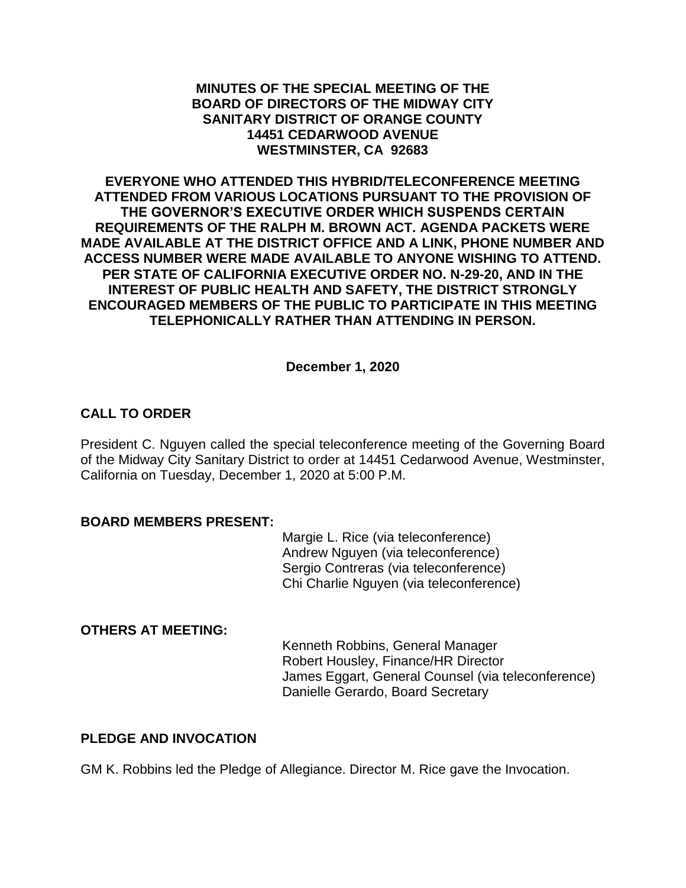### **MINUTES OF THE SPECIAL MEETING OF THE BOARD OF DIRECTORS OF THE MIDWAY CITY SANITARY DISTRICT OF ORANGE COUNTY 14451 CEDARWOOD AVENUE WESTMINSTER, CA 92683**

**EVERYONE WHO ATTENDED THIS HYBRID/TELECONFERENCE MEETING ATTENDED FROM VARIOUS LOCATIONS PURSUANT TO THE PROVISION OF THE GOVERNOR'S EXECUTIVE ORDER WHICH SUSPENDS CERTAIN REQUIREMENTS OF THE RALPH M. BROWN ACT. AGENDA PACKETS WERE MADE AVAILABLE AT THE DISTRICT OFFICE AND A LINK, PHONE NUMBER AND ACCESS NUMBER WERE MADE AVAILABLE TO ANYONE WISHING TO ATTEND. PER STATE OF CALIFORNIA EXECUTIVE ORDER NO. N-29-20, AND IN THE INTEREST OF PUBLIC HEALTH AND SAFETY, THE DISTRICT STRONGLY ENCOURAGED MEMBERS OF THE PUBLIC TO PARTICIPATE IN THIS MEETING TELEPHONICALLY RATHER THAN ATTENDING IN PERSON.**

### **December 1, 2020**

# **CALL TO ORDER**

President C. Nguyen called the special teleconference meeting of the Governing Board of the Midway City Sanitary District to order at 14451 Cedarwood Avenue, Westminster, California on Tuesday, December 1, 2020 at 5:00 P.M.

#### **BOARD MEMBERS PRESENT:**

Margie L. Rice (via teleconference) Andrew Nguyen (via teleconference) Sergio Contreras (via teleconference) Chi Charlie Nguyen (via teleconference)

### **OTHERS AT MEETING:**

Kenneth Robbins, General Manager Robert Housley, Finance/HR Director James Eggart, General Counsel (via teleconference) Danielle Gerardo, Board Secretary

# **PLEDGE AND INVOCATION**

GM K. Robbins led the Pledge of Allegiance. Director M. Rice gave the Invocation.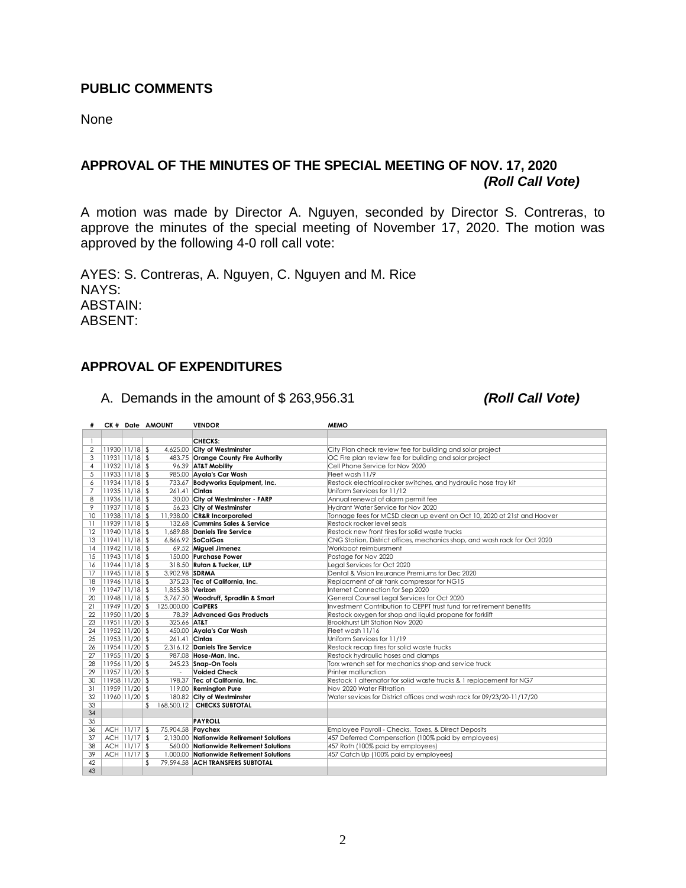#### **PUBLIC COMMENTS**

None

# **APPROVAL OF THE MINUTES OF THE SPECIAL MEETING OF NOV. 17, 2020** *(Roll Call Vote)*

A motion was made by Director A. Nguyen, seconded by Director S. Contreras, to approve the minutes of the special meeting of November 17, 2020. The motion was approved by the following 4-0 roll call vote:

AYES: S. Contreras, A. Nguyen, C. Nguyen and M. Rice NAYS: ABSTAIN: ABSENT:

### **APPROVAL OF EXPENDITURES**

A. Demands in the amount of \$ 263,956.31 *(Roll Call Vote)*

|                 |                    |              | CK # Date AMOUNT   | <b>VENDOR</b>                            | <b>MEMO</b>                                                               |
|-----------------|--------------------|--------------|--------------------|------------------------------------------|---------------------------------------------------------------------------|
|                 |                    |              |                    |                                          |                                                                           |
| -1              |                    |              |                    | <b>CHECKS:</b>                           |                                                                           |
| 2               | 11930 11/18 \$     |              |                    | 4,625.00 City of Westminster             | City Plan check review fee for building and solar project                 |
| 3               | $ 11931 11/18 $ \$ |              |                    | 483.75 Orange County Fire Authority      | OC Fire plan review fee for building and solar project                    |
| $\overline{4}$  | $11932$ $11/18$ \$ |              |                    | 96.39 AT&T Mobility                      | Cell Phone Service for Nov 2020                                           |
| 5               | $ 11933 11/18 $ \$ |              |                    | 985.00 Ayala's Car Wash                  | Fleet wash 11/9                                                           |
| 6               | $ 11934 11/18 $ \$ |              |                    | 733.67 Bodyworks Equipment, Inc.         | Restock electrical rocker switches, and hydraulic hose tray kit           |
| $\overline{7}$  | $ 11935 11/18 $ \$ |              | 261.41 Cintas      |                                          | Uniform Services for 11/12                                                |
| 8               | 11936 11/18 \$     |              |                    | 30.00 City of Westminster - FARP         | Annual renewal of alarm permit fee                                        |
| 9               | 11937 11/18 \$     |              |                    | 56.23 City of Westminster                | Hydrant Water Service for Nov 2020                                        |
| 10 <sup>2</sup> | $ 11938 11/18 $ \$ |              |                    | 11,938.00 CR&R Incorporated              | Tonnage fees for MCSD clean up event on Oct 10, 2020 at 21st and Hoover   |
| 11              | $ 11939 11/18$ \$  |              |                    | 132.68 Cummins Sales & Service           | Restock rocker level seals                                                |
| 12              | $ 11940 11/18 $ \$ |              |                    | 1.689.88 Daniels Tire Service            | Restock new front tires for solid waste trucks                            |
| 13              | $ 11941 11/18$ \$  |              |                    | 6,866.92 SoCalGas                        | CNG Station, District offices, mechanics shop, and wash rack for Oct 2020 |
| 14              | $ 11942 11/18 $ \$ |              |                    | 69.52 Miguel Jimenez                     | Workboot reimbursment                                                     |
| 15              | $ 11943 11/18 $ \$ |              |                    | 150.00 Purchase Power                    | Postage for Nov 2020                                                      |
| 16              | 11944 11/18 \$     |              |                    | 318.50 Rutan & Tucker, LLP               | Legal Services for Oct 2020                                               |
| 17              | $ 11945 11/18 $ \$ |              | 3,902.98 SDRMA     |                                          | Dental & Vision Insurance Premiums for Dec 2020                           |
| 18              | $ 11946 11/18 $ \$ |              |                    | 375.23 Tec of California, Inc.           | Replacment of air tank compressor for NG15                                |
| 19              | $ 11947 11/18$ \$  |              | 1,855.38 Verizon   |                                          | Internet Connection for Sep 2020                                          |
| 20              | $11948$ $11/18$ \$ |              |                    | 3,767.50 Woodruff, Spradlin & Smart      | General Counsel Legal Services for Oct 2020                               |
| 21              | $ 11949 11/20 $ \$ |              | 125,000.00 CalPERS |                                          | Investment Contribution to CEPPT trust fund for retirement benefits       |
| 22              | $ 11950 11/20 $ \$ |              |                    | 78.39 Advanced Gas Products              | Restock oxygen for shop and liquid propane for forklift                   |
| 23              | $ 11951 11/20 $ \$ |              | 325.66 AT&T        |                                          | Brookhurst Lift Station Nov 2020                                          |
| 24              | $ 11952 11/20 $ \$ |              |                    | 450.00 Ayala's Car Wash                  | Fleet wash 11/16                                                          |
| 25              | $ 11953 11/20 $ \$ |              | 261.41 Cintas      |                                          | Uniform Services for 11/19                                                |
| 26              | $ 11954 11/20 $ \$ |              |                    | 2.316.12 Daniels Tire Service            | Restock recap tires for solid waste trucks                                |
| 27              | $ 11955 11/20 $ \$ |              |                    | 987.08 Hose-Man, Inc.                    | Restock hydraulic hoses and clamps                                        |
| 28              | $ 11956 11/20 $ \$ |              |                    | 245.23 Snap-On Tools                     | Torx wrench set for mechanics shop and service truck                      |
| 29              | $ 11957 11/20 $ \$ |              | ×                  | <b>Voided Check</b>                      | Printer malfunction                                                       |
| 30              | $ 11958 11/20 $ \$ |              |                    | 198.37 Tec of California, Inc.           | Restock 1 alternator for solid waste trucks & 1 replacement for NG7       |
| 31              | $ 11959 11/20 $ \$ |              |                    | 119.00 Remington Pure                    | Nov 2020 Water Filtration                                                 |
| 32              | $11960$ $11/20$ \$ |              |                    | 180.82 City of Westminster               | Water sevices for District offices and wash rack for 09/23/20-11/17/20    |
| 33              |                    |              | \$.                | 168.500.12 CHECKS SUBTOTAL               |                                                                           |
| 34              |                    |              |                    |                                          |                                                                           |
| 35              |                    |              |                    | <b>PAYROLL</b>                           |                                                                           |
| 36              |                    | ACH 11/17 \$ | 75,904.58 Paychex  |                                          | Employee Payroll - Checks, Taxes, & Direct Deposits                       |
| 37              |                    | ACH 11/17 \$ |                    | 2.130.00 Nationwide Retirement Solutions | 457 Deferred Compensation (100% paid by employees)                        |
| 38              |                    | ACH 11/17 \$ |                    | 560.00 Nationwide Retirement Solutions   | 457 Roth (100% paid by employees)                                         |
| 39              |                    | ACH 11/17 \$ |                    | 1,000.00 Nationwide Retirement Solutions | 457 Catch Up (100% paid by employees)                                     |
| 42              |                    |              |                    | 79.594.58 ACH TRANSFERS SUBTOTAL         |                                                                           |
| 43              |                    |              |                    |                                          |                                                                           |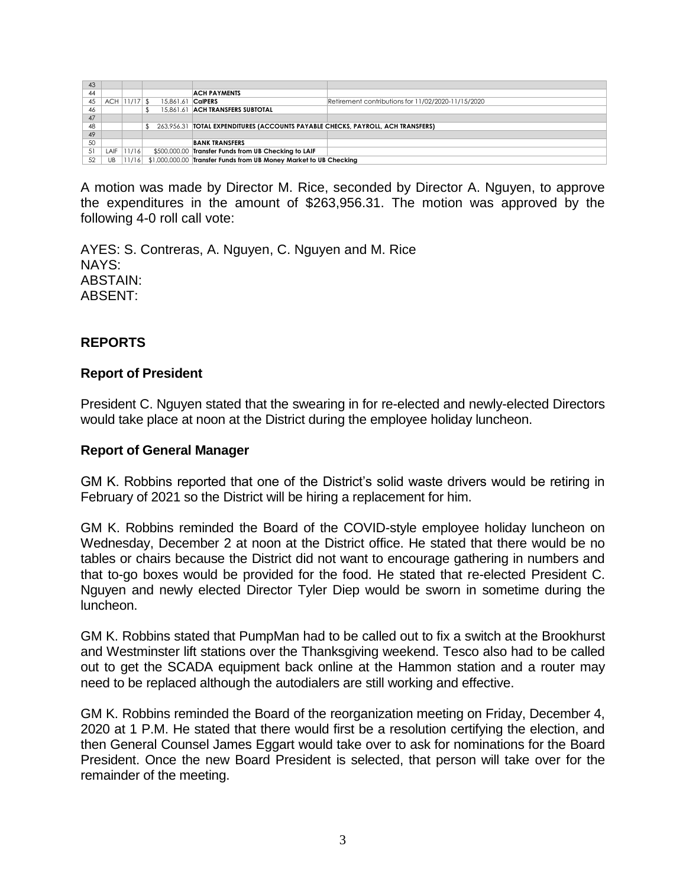| 43 |            |            |           |                                                                                   |                                                    |  |
|----|------------|------------|-----------|-----------------------------------------------------------------------------------|----------------------------------------------------|--|
| 44 |            |            |           | <b>ACH PAYMENTS</b>                                                               |                                                    |  |
| 45 | <b>ACH</b> | $11/17$ \$ | 15.861.61 | <b>CalPERS</b>                                                                    | Retirement contributions for 11/02/2020-11/15/2020 |  |
| 46 |            |            |           | 15.861.61 ACH TRANSFERS SUBTOTAL                                                  |                                                    |  |
| 47 |            |            |           |                                                                                   |                                                    |  |
| 48 |            |            |           | 263,956.31   TOTAL EXPENDITURES (ACCOUNTS PAYABLE CHECKS, PAYROLL, ACH TRANSFERS) |                                                    |  |
| 49 |            |            |           |                                                                                   |                                                    |  |
| 50 |            |            |           | <b>BANK TRANSFERS</b>                                                             |                                                    |  |
| 51 | LAIF       | 11/16      |           | \$500,000.00 Transfer Funds from UB Checking to LAIF                              |                                                    |  |
| 52 | UB         |            |           | 11/16 \$1,000,000.00 Transfer Funds from UB Money Market to UB Checking           |                                                    |  |

A motion was made by Director M. Rice, seconded by Director A. Nguyen, to approve the expenditures in the amount of \$263,956.31. The motion was approved by the following 4-0 roll call vote:

AYES: S. Contreras, A. Nguyen, C. Nguyen and M. Rice NAYS: ABSTAIN: ABSENT:

# **REPORTS**

### **Report of President**

President C. Nguyen stated that the swearing in for re-elected and newly-elected Directors would take place at noon at the District during the employee holiday luncheon.

#### **Report of General Manager**

GM K. Robbins reported that one of the District's solid waste drivers would be retiring in February of 2021 so the District will be hiring a replacement for him.

GM K. Robbins reminded the Board of the COVID-style employee holiday luncheon on Wednesday, December 2 at noon at the District office. He stated that there would be no tables or chairs because the District did not want to encourage gathering in numbers and that to-go boxes would be provided for the food. He stated that re-elected President C. Nguyen and newly elected Director Tyler Diep would be sworn in sometime during the luncheon.

GM K. Robbins stated that PumpMan had to be called out to fix a switch at the Brookhurst and Westminster lift stations over the Thanksgiving weekend. Tesco also had to be called out to get the SCADA equipment back online at the Hammon station and a router may need to be replaced although the autodialers are still working and effective.

GM K. Robbins reminded the Board of the reorganization meeting on Friday, December 4, 2020 at 1 P.M. He stated that there would first be a resolution certifying the election, and then General Counsel James Eggart would take over to ask for nominations for the Board President. Once the new Board President is selected, that person will take over for the remainder of the meeting.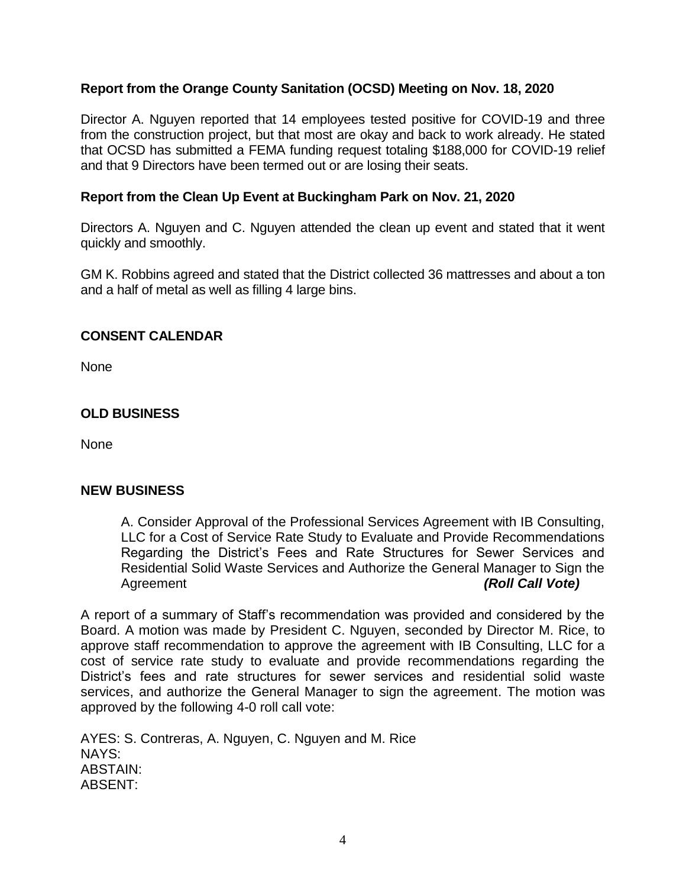# **Report from the Orange County Sanitation (OCSD) Meeting on Nov. 18, 2020**

Director A. Nguyen reported that 14 employees tested positive for COVID-19 and three from the construction project, but that most are okay and back to work already. He stated that OCSD has submitted a FEMA funding request totaling \$188,000 for COVID-19 relief and that 9 Directors have been termed out or are losing their seats.

# **Report from the Clean Up Event at Buckingham Park on Nov. 21, 2020**

Directors A. Nguyen and C. Nguyen attended the clean up event and stated that it went quickly and smoothly.

GM K. Robbins agreed and stated that the District collected 36 mattresses and about a ton and a half of metal as well as filling 4 large bins.

# **CONSENT CALENDAR**

None

# **OLD BUSINESS**

None

# **NEW BUSINESS**

A. Consider Approval of the Professional Services Agreement with IB Consulting, LLC for a Cost of Service Rate Study to Evaluate and Provide Recommendations Regarding the District's Fees and Rate Structures for Sewer Services and Residential Solid Waste Services and Authorize the General Manager to Sign the Agreement *(Roll Call Vote)*

A report of a summary of Staff's recommendation was provided and considered by the Board. A motion was made by President C. Nguyen, seconded by Director M. Rice, to approve staff recommendation to approve the agreement with IB Consulting, LLC for a cost of service rate study to evaluate and provide recommendations regarding the District's fees and rate structures for sewer services and residential solid waste services, and authorize the General Manager to sign the agreement. The motion was approved by the following 4-0 roll call vote:

AYES: S. Contreras, A. Nguyen, C. Nguyen and M. Rice NAYS: ABSTAIN: ABSENT: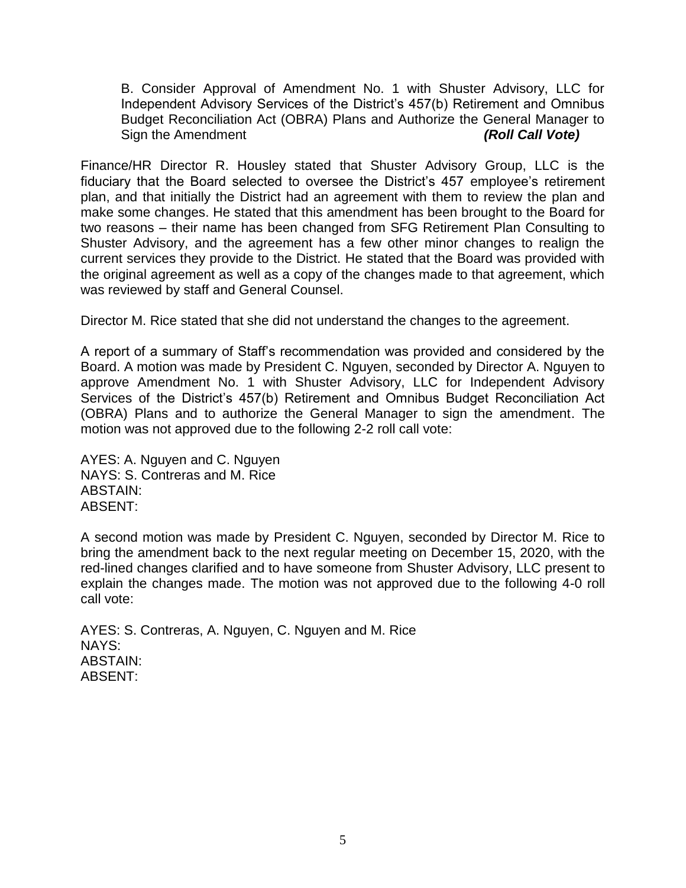B. Consider Approval of Amendment No. 1 with Shuster Advisory, LLC for Independent Advisory Services of the District's 457(b) Retirement and Omnibus Budget Reconciliation Act (OBRA) Plans and Authorize the General Manager to Sign the Amendment *(Roll Call Vote)* 

Finance/HR Director R. Housley stated that Shuster Advisory Group, LLC is the fiduciary that the Board selected to oversee the District's 457 employee's retirement plan, and that initially the District had an agreement with them to review the plan and make some changes. He stated that this amendment has been brought to the Board for two reasons – their name has been changed from SFG Retirement Plan Consulting to Shuster Advisory, and the agreement has a few other minor changes to realign the current services they provide to the District. He stated that the Board was provided with the original agreement as well as a copy of the changes made to that agreement, which was reviewed by staff and General Counsel.

Director M. Rice stated that she did not understand the changes to the agreement.

A report of a summary of Staff's recommendation was provided and considered by the Board. A motion was made by President C. Nguyen, seconded by Director A. Nguyen to approve Amendment No. 1 with Shuster Advisory, LLC for Independent Advisory Services of the District's 457(b) Retirement and Omnibus Budget Reconciliation Act (OBRA) Plans and to authorize the General Manager to sign the amendment. The motion was not approved due to the following 2-2 roll call vote:

AYES: A. Nguyen and C. Nguyen NAYS: S. Contreras and M. Rice ABSTAIN: ABSENT:

A second motion was made by President C. Nguyen, seconded by Director M. Rice to bring the amendment back to the next regular meeting on December 15, 2020, with the red-lined changes clarified and to have someone from Shuster Advisory, LLC present to explain the changes made. The motion was not approved due to the following 4-0 roll call vote:

AYES: S. Contreras, A. Nguyen, C. Nguyen and M. Rice NAYS: ABSTAIN: ABSENT: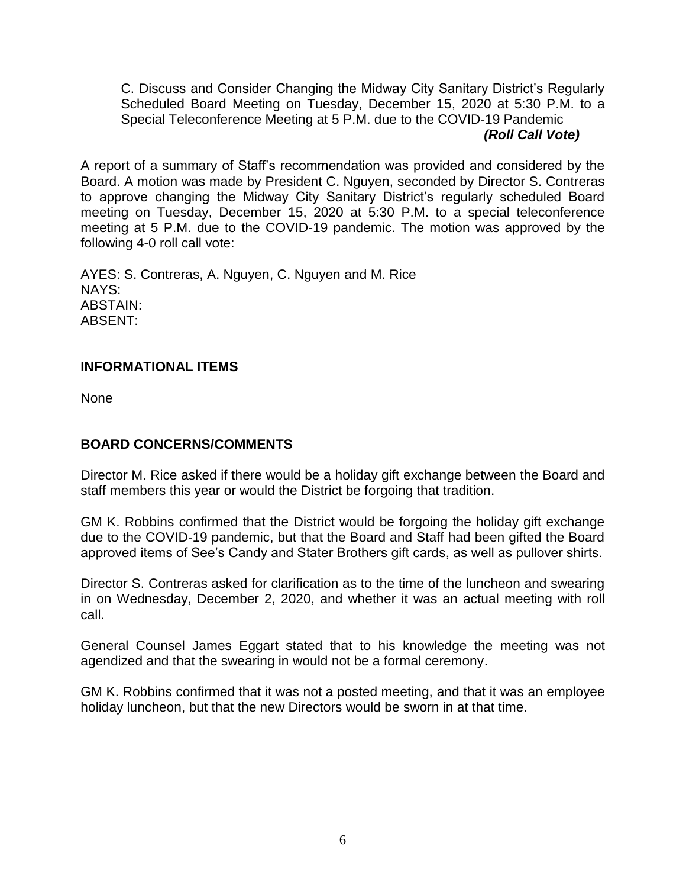C. Discuss and Consider Changing the Midway City Sanitary District's Regularly Scheduled Board Meeting on Tuesday, December 15, 2020 at 5:30 P.M. to a Special Teleconference Meeting at 5 P.M. due to the COVID-19 Pandemic *(Roll Call Vote)*

A report of a summary of Staff's recommendation was provided and considered by the Board. A motion was made by President C. Nguyen, seconded by Director S. Contreras to approve changing the Midway City Sanitary District's regularly scheduled Board meeting on Tuesday, December 15, 2020 at 5:30 P.M. to a special teleconference meeting at 5 P.M. due to the COVID-19 pandemic. The motion was approved by the following 4-0 roll call vote:

AYES: S. Contreras, A. Nguyen, C. Nguyen and M. Rice NAYS: ABSTAIN: ABSENT:

# **INFORMATIONAL ITEMS**

None

# **BOARD CONCERNS/COMMENTS**

Director M. Rice asked if there would be a holiday gift exchange between the Board and staff members this year or would the District be forgoing that tradition.

GM K. Robbins confirmed that the District would be forgoing the holiday gift exchange due to the COVID-19 pandemic, but that the Board and Staff had been gifted the Board approved items of See's Candy and Stater Brothers gift cards, as well as pullover shirts.

Director S. Contreras asked for clarification as to the time of the luncheon and swearing in on Wednesday, December 2, 2020, and whether it was an actual meeting with roll call.

General Counsel James Eggart stated that to his knowledge the meeting was not agendized and that the swearing in would not be a formal ceremony.

GM K. Robbins confirmed that it was not a posted meeting, and that it was an employee holiday luncheon, but that the new Directors would be sworn in at that time.